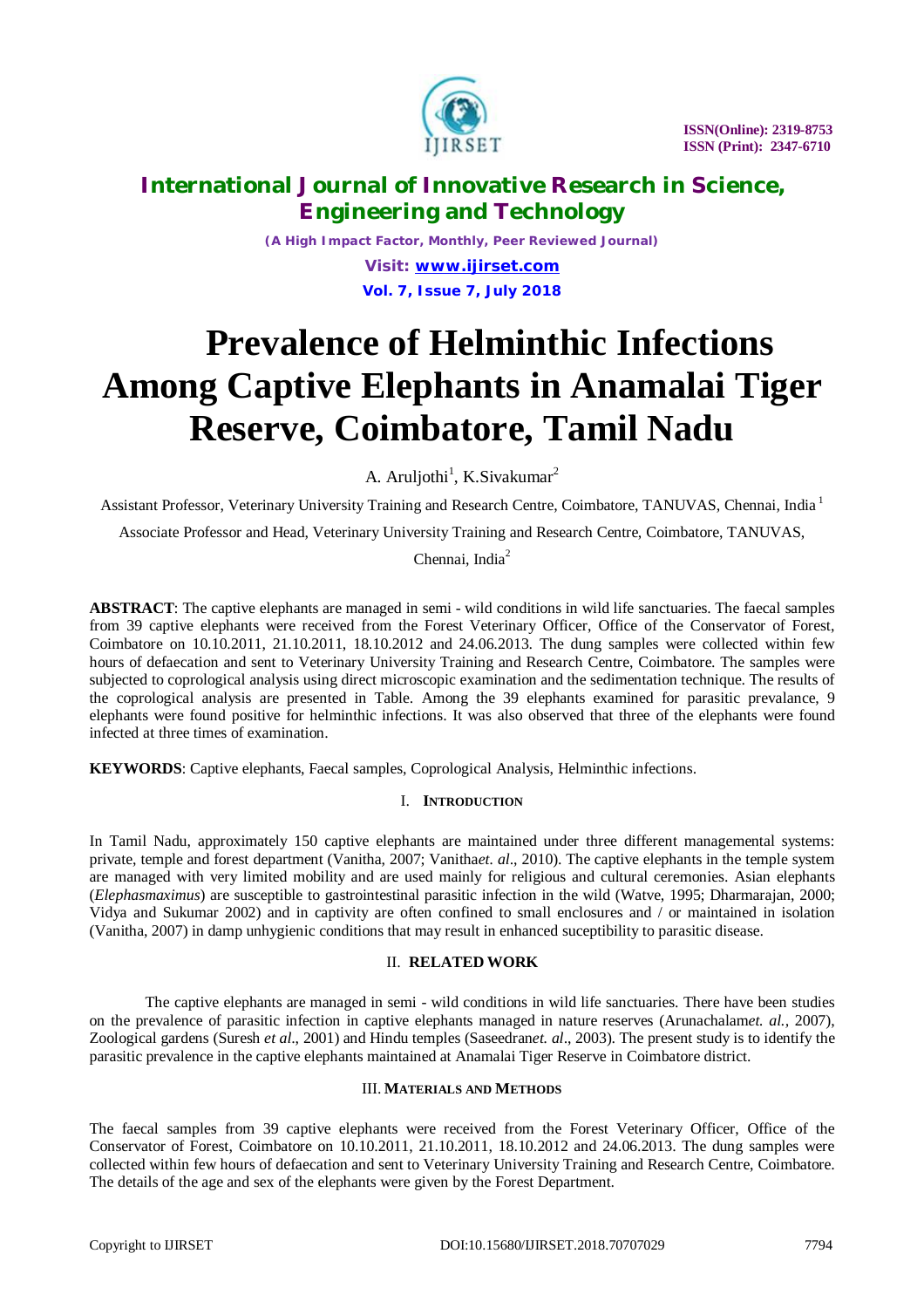

# **International Journal of Innovative Research in Science, Engineering and Technology**

*(A High Impact Factor, Monthly, Peer Reviewed Journal)*

*Visit: [www.ijirset.com](http://www.ijirset.com)* **Vol. 7, Issue 7, July 2018**

# **Prevalence of Helminthic Infections Among Captive Elephants in Anamalai Tiger Reserve, Coimbatore, Tamil Nadu**

A. Aruljothi<sup>1</sup>, K.Sivakumar<sup>2</sup>

Assistant Professor, Veterinary University Training and Research Centre, Coimbatore, TANUVAS, Chennai, India <sup>1</sup>

Associate Professor and Head, Veterinary University Training and Research Centre, Coimbatore, TANUVAS,

Chennai, India<sup>2</sup>

**ABSTRACT**: The captive elephants are managed in semi - wild conditions in wild life sanctuaries. The faecal samples from 39 captive elephants were received from the Forest Veterinary Officer, Office of the Conservator of Forest, Coimbatore on 10.10.2011, 21.10.2011, 18.10.2012 and 24.06.2013. The dung samples were collected within few hours of defaecation and sent to Veterinary University Training and Research Centre, Coimbatore. The samples were subjected to coprological analysis using direct microscopic examination and the sedimentation technique. The results of the coprological analysis are presented in Table. Among the 39 elephants examined for parasitic prevalance, 9 elephants were found positive for helminthic infections. It was also observed that three of the elephants were found infected at three times of examination.

**KEYWORDS**: Captive elephants, Faecal samples, Coprological Analysis, Helminthic infections.

## I. **INTRODUCTION**

In Tamil Nadu, approximately 150 captive elephants are maintained under three different managemental systems: private, temple and forest department (Vanitha, 2007; Vanitha*et. al*., 2010). The captive elephants in the temple system are managed with very limited mobility and are used mainly for religious and cultural ceremonies. Asian elephants (*Elephasmaximus*) are susceptible to gastrointestinal parasitic infection in the wild (Watve, 1995; Dharmarajan, 2000; Vidya and Sukumar 2002) and in captivity are often confined to small enclosures and / or maintained in isolation (Vanitha, 2007) in damp unhygienic conditions that may result in enhanced suceptibility to parasitic disease.

### II. **RELATED WORK**

The captive elephants are managed in semi - wild conditions in wild life sanctuaries. There have been studies on the prevalence of parasitic infection in captive elephants managed in nature reserves (Arunachalam*et. al.,* 2007), Zoological gardens (Suresh *et al*., 2001) and Hindu temples (Saseedran*et. al*., 2003). The present study is to identify the parasitic prevalence in the captive elephants maintained at Anamalai Tiger Reserve in Coimbatore district.

### III. **MATERIALS AND METHODS**

The faecal samples from 39 captive elephants were received from the Forest Veterinary Officer, Office of the Conservator of Forest, Coimbatore on 10.10.2011, 21.10.2011, 18.10.2012 and 24.06.2013. The dung samples were collected within few hours of defaecation and sent to Veterinary University Training and Research Centre, Coimbatore. The details of the age and sex of the elephants were given by the Forest Department.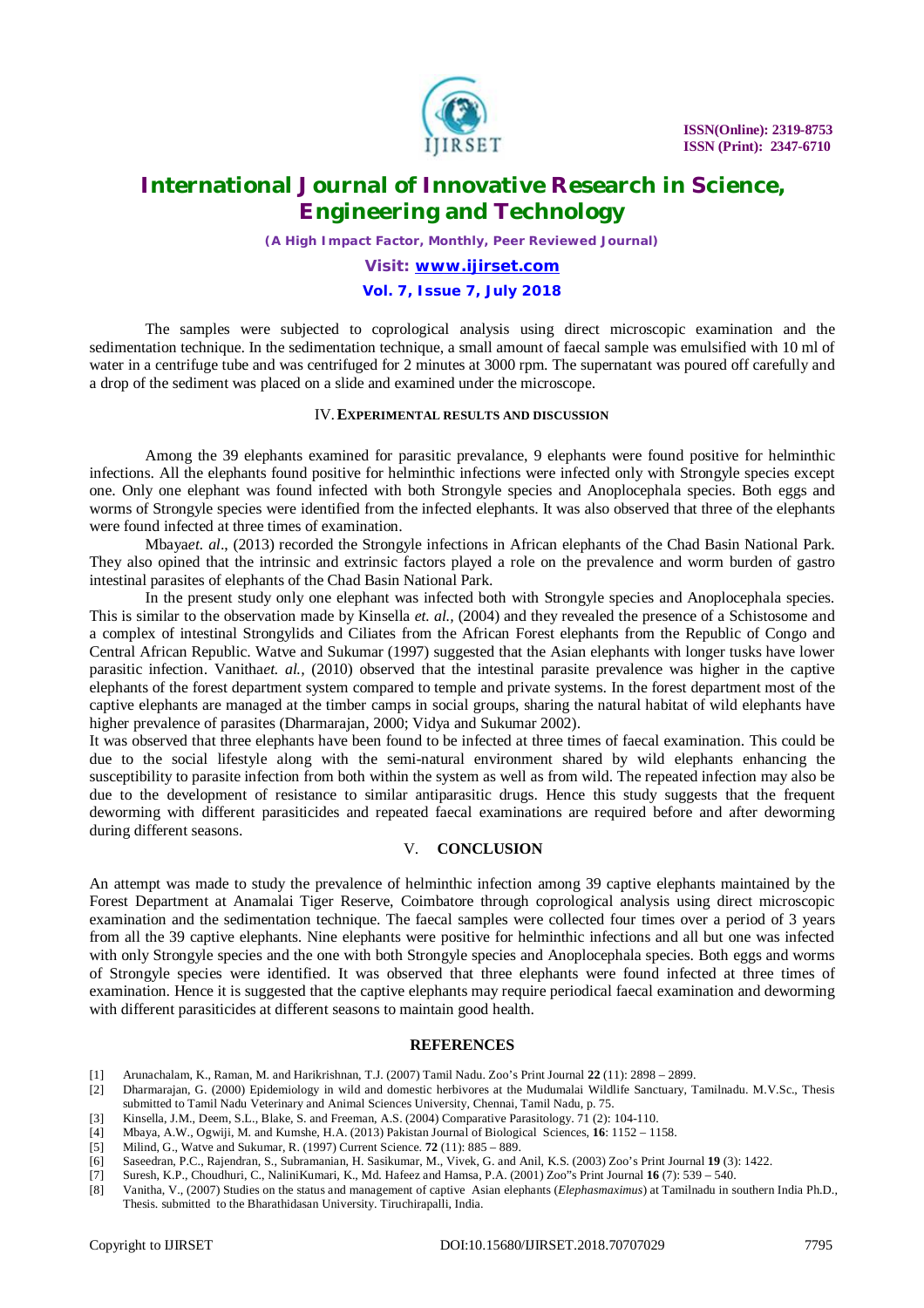

# **International Journal of Innovative Research in Science, Engineering and Technology**

*(A High Impact Factor, Monthly, Peer Reviewed Journal)*

# *Visit: [www.ijirset.com](http://www.ijirset.com)*

## **Vol. 7, Issue 7, July 2018**

The samples were subjected to coprological analysis using direct microscopic examination and the sedimentation technique. In the sedimentation technique, a small amount of faecal sample was emulsified with 10 ml of water in a centrifuge tube and was centrifuged for 2 minutes at 3000 rpm. The supernatant was poured off carefully and a drop of the sediment was placed on a slide and examined under the microscope.

#### IV.**EXPERIMENTAL RESULTS AND DISCUSSION**

Among the 39 elephants examined for parasitic prevalance, 9 elephants were found positive for helminthic infections. All the elephants found positive for helminthic infections were infected only with Strongyle species except one. Only one elephant was found infected with both Strongyle species and Anoplocephala species. Both eggs and worms of Strongyle species were identified from the infected elephants. It was also observed that three of the elephants were found infected at three times of examination.

Mbaya*et. al*., (2013) recorded the Strongyle infections in African elephants of the Chad Basin National Park. They also opined that the intrinsic and extrinsic factors played a role on the prevalence and worm burden of gastro intestinal parasites of elephants of the Chad Basin National Park.

In the present study only one elephant was infected both with Strongyle species and Anoplocephala species. This is similar to the observation made by Kinsella *et. al.,* (2004) and they revealed the presence of a Schistosome and a complex of intestinal Strongylids and Ciliates from the African Forest elephants from the Republic of Congo and Central African Republic. Watve and Sukumar (1997) suggested that the Asian elephants with longer tusks have lower parasitic infection. Vanitha*et. al.,* (2010) observed that the intestinal parasite prevalence was higher in the captive elephants of the forest department system compared to temple and private systems. In the forest department most of the captive elephants are managed at the timber camps in social groups, sharing the natural habitat of wild elephants have higher prevalence of parasites (Dharmarajan, 2000; Vidya and Sukumar 2002).

It was observed that three elephants have been found to be infected at three times of faecal examination. This could be due to the social lifestyle along with the semi-natural environment shared by wild elephants enhancing the susceptibility to parasite infection from both within the system as well as from wild. The repeated infection may also be due to the development of resistance to similar antiparasitic drugs. Hence this study suggests that the frequent deworming with different parasiticides and repeated faecal examinations are required before and after deworming during different seasons.

### V. **CONCLUSION**

An attempt was made to study the prevalence of helminthic infection among 39 captive elephants maintained by the Forest Department at Anamalai Tiger Reserve, Coimbatore through coprological analysis using direct microscopic examination and the sedimentation technique. The faecal samples were collected four times over a period of 3 years from all the 39 captive elephants. Nine elephants were positive for helminthic infections and all but one was infected with only Strongyle species and the one with both Strongyle species and Anoplocephala species. Both eggs and worms of Strongyle species were identified. It was observed that three elephants were found infected at three times of examination. Hence it is suggested that the captive elephants may require periodical faecal examination and deworming with different parasiticides at different seasons to maintain good health.

#### **REFERENCES**

- [1] Arunachalam, K., Raman, M. and Harikrishnan, T.J. (2007) Tamil Nadu. Zoo's Print Journal **22** (11): 2898 2899.
- [2] Dharmarajan, G. (2000) Epidemiology in wild and domestic herbivores at the Mudumalai Wildlife Sanctuary, Tamilnadu. M.V.Sc., Thesis submitted to Tamil Nadu Veterinary and Animal Sciences University, Chennai, Tamil Nadu, p. 75.
- [3] Kinsella, J.M., Deem, S.L., Blake, S. and Freeman, A.S. (2004) Comparative Parasitology. 71 (2): 104-110.<br>[4] Mbaya, A.W., Ogwiji, M. and Kumshe, H.A. (2013) Pakistan Journal of Biological Sciences, 16: 1152 11
- [4] Mbaya, A.W., Ogwiji, M. and Kumshe, H.A. (2013) Pakistan Journal of Biological Sciences, **16**: 1152 1158.
- [5] Milind, G., Watve and Sukumar, R. (1997) Current Science. **72** (11): 885 889.
- [6] Saseedran, P.C., Rajendran, S., Subramanian, H. Sasikumar, M., Vivek, G. and Anil, K.S. (2003) Zoo's Print Journal **19** (3): 1422.
- [7] Suresh, K.P., Choudhuri, C., NaliniKumari, K., Md. Hafeez and Hamsa, P.A. (2001) Zoo"s Print Journal **16** (7): 539 540.
- [8] Vanitha, V., (2007) Studies on the status and management of captive Asian elephants (*Elephasmaximus*) at Tamilnadu in southern India Ph.D., Thesis. submitted to the Bharathidasan University. Tiruchirapalli, India.